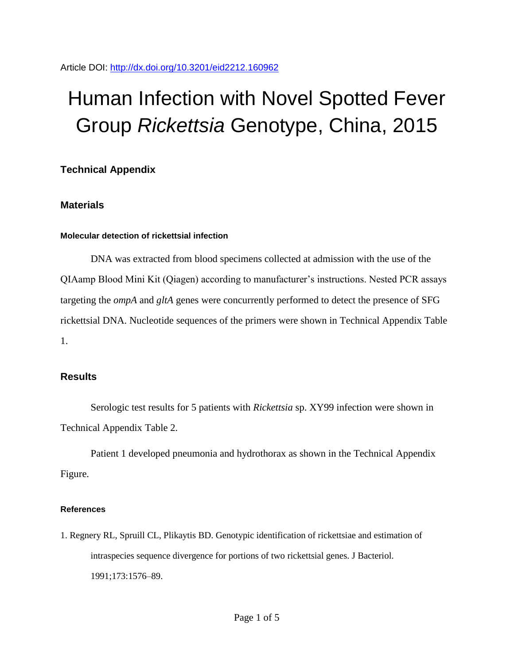# Human Infection with Novel Spotted Fever Group *Rickettsia* Genotype, China, 2015

## **Technical Appendix**

## **Materials**

#### **Molecular detection of rickettsial infection**

DNA was extracted from blood specimens collected at admission with the use of the QIAamp Blood Mini Kit (Qiagen) according to manufacturer's instructions. Nested PCR assays targeting the *ompA* and *gltA* genes were concurrently performed to detect the presence of SFG rickettsial DNA. Nucleotide sequences of the primers were shown in Technical Appendix Table 1.

## **Results**

Serologic test results for 5 patients with *Rickettsia* sp. XY99 infection were shown in Technical Appendix Table 2.

Patient 1 developed pneumonia and hydrothorax as shown in the Technical Appendix Figure.

#### **References**

1. Regnery RL, Spruill CL, Plikaytis BD. Genotypic identification of rickettsiae and estimation of intraspecies sequence divergence for portions of two rickettsial genes. J Bacteriol. 1991;173:1576–89.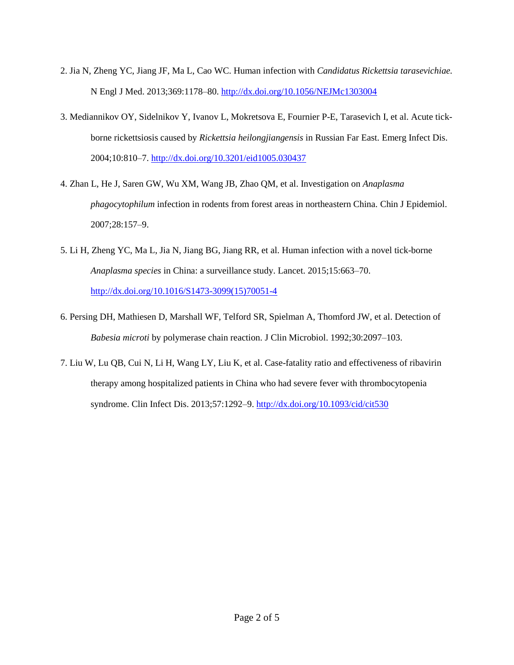- 2. Jia N, Zheng YC, Jiang JF, Ma L, Cao WC. Human infection with *Candidatus Rickettsia tarasevichiae.* N Engl J Med. 2013;369:1178–80.<http://dx.doi.org/10.1056/NEJMc1303004>
- 3. Mediannikov OY, Sidelnikov Y, Ivanov L, Mokretsova E, Fournier P-E, Tarasevich I, et al. Acute tickborne rickettsiosis caused by *Rickettsia heilongjiangensis* in Russian Far East. Emerg Infect Dis. 2004;10:810–7.<http://dx.doi.org/10.3201/eid1005.030437>
- 4. Zhan L, He J, Saren GW, Wu XM, Wang JB, Zhao QM, et al. Investigation on *Anaplasma phagocytophilum* infection in rodents from forest areas in northeastern China. Chin J Epidemiol. 2007;28:157–9.
- 5. Li H, Zheng YC, Ma L, Jia N, Jiang BG, Jiang RR, et al. Human infection with a novel tick-borne *Anaplasma species* in China: a surveillance study. Lancet. 2015;15:663–70. [http://dx.doi.org/10.1016/S1473-3099\(15\)70051-4](http://dx.doi.org/10.1016/S1473-3099(15)70051-4)
- 6. Persing DH, Mathiesen D, Marshall WF, Telford SR, Spielman A, Thomford JW, et al. Detection of *Babesia microti* by polymerase chain reaction. J Clin Microbiol. 1992;30:2097–103.
- 7. Liu W, Lu QB, Cui N, Li H, Wang LY, Liu K, et al. Case-fatality ratio and effectiveness of ribavirin therapy among hospitalized patients in China who had severe fever with thrombocytopenia syndrome. Clin Infect Dis. 2013;57:1292–9.<http://dx.doi.org/10.1093/cid/cit530>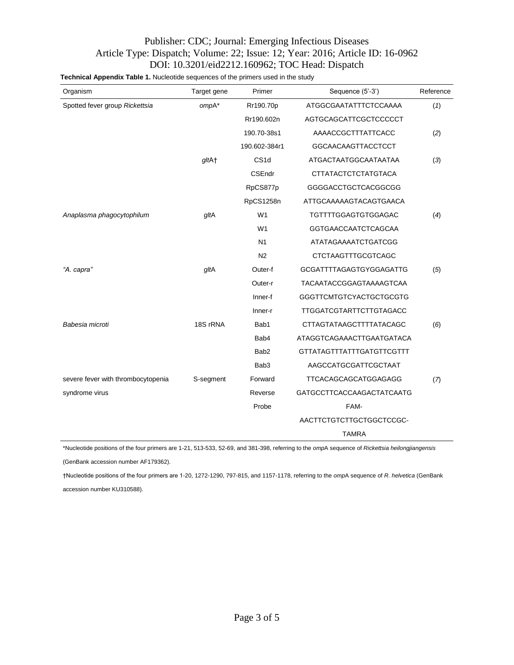### Publisher: CDC; Journal: Emerging Infectious Diseases Article Type: Dispatch; Volume: 22; Issue: 12; Year: 2016; Article ID: 16-0962 DOI: 10.3201/eid2212.160962; TOC Head: Dispatch

**Technical Appendix Table 1.** Nucleotide sequences of the primers used in the study

| Organism                           | Target gene | Primer           | Sequence (5'-3')                 | Reference |  |
|------------------------------------|-------------|------------------|----------------------------------|-----------|--|
| Spotted fever group Rickettsia     | ompA*       | Rr190.70p        | ATGGCGAATATTTCTCCAAAA            | (1)       |  |
|                                    |             | Rr190.602n       | AGTGCAGCATTCGCTCCCCCT            |           |  |
|                                    |             | 190.70-38s1      | AAAACCGCTTTATTCACC               | (2)       |  |
|                                    |             | 190.602-384r1    | <b>GGCAACAAGTTACCTCCT</b>        |           |  |
|                                    | gltA+       | CS <sub>1d</sub> | ATGACTAATGGCAATAATAA             | (3)       |  |
|                                    |             | CSEndr           | <b>CTTATACTCTCTATGTACA</b>       |           |  |
|                                    |             | RpCS877p         | GGGGACCTGCTCACGGCGG              |           |  |
|                                    |             | RpCS1258n        | ATTGCAAAAAGTACAGTGAACA           |           |  |
| Anaplasma phagocytophilum          | gltA        | W <sub>1</sub>   | TGTTTTGGAGTGTGGAGAC              | (4)       |  |
|                                    |             | W <sub>1</sub>   | GGTGAACCAATCTCAGCAA              |           |  |
|                                    |             | N1               | ATATAGAAAATCTGATCGG              |           |  |
|                                    |             | N <sub>2</sub>   | <b>CTCTAAGTTTGCGTCAGC</b>        |           |  |
| "A. capra"                         | gltA        | Outer-f          | <b>GCGATTTTAGAGTGYGGAGATTG</b>   | (5)       |  |
|                                    |             | Outer-r          | <b>TACAATACCGGAGTAAAAGTCAA</b>   |           |  |
|                                    |             | Inner-f          | GGGTTCMTGTCYACTGCTGCGTG          |           |  |
|                                    |             | Inner-r          | <b>TTGGATCGTARTTCTTGTAGACC</b>   |           |  |
| Babesia microti                    | 18S rRNA    | Bab1             | <b>CTTAGTATAAGCTTTTATACAGC</b>   | (6)       |  |
|                                    |             | Bab4             | ATAGGTCAGAAACTTGAATGATACA        |           |  |
|                                    |             | Bab <sub>2</sub> | <b>GTTATAGTTTATTTGATGTTCGTTT</b> |           |  |
|                                    |             | Bab <sub>3</sub> | AAGCCATGCGATTCGCTAAT             |           |  |
| severe fever with thrombocytopenia | S-segment   | Forward          | TTCACAGCAGCATGGAGAGG             | (7)       |  |
| syndrome virus                     |             | Reverse          | GATGCCTTCACCAAGACTATCAATG        |           |  |
|                                    |             | Probe            | FAM-                             |           |  |
|                                    |             |                  | AACTTCTGTCTTGCTGGCTCCGC-         |           |  |
|                                    |             |                  | <b>TAMRA</b>                     |           |  |

\*Nucleotide positions of the four primers are 1-21, 513-533, 52-69, and 381-398, referring to the *omp*A sequence of *Rickettsia heilongjiangensis*

(GenBank accession number AF179362).

†Nucleotide positions of the four primers are 1-20, 1272-1290, 797-815, and 1157-1178, referring to the *omp*A sequence of *R. helvetica* (GenBank accession number KU310588).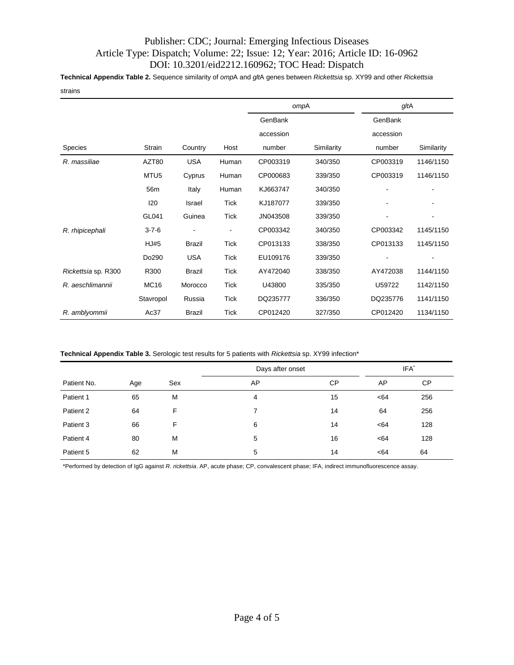## Publisher: CDC; Journal: Emerging Infectious Diseases Article Type: Dispatch; Volume: 22; Issue: 12; Year: 2016; Article ID: 16-0962 DOI: 10.3201/eid2212.160962; TOC Head: Dispatch

**Technical Appendix Table 2.** Sequence similarity of *omp*A and *glt*A genes between *Rickettsia* sp. XY99 and other *Rickettsia*

strains

|                     |                  |               |                          | ompA      |            | gltA      |            |
|---------------------|------------------|---------------|--------------------------|-----------|------------|-----------|------------|
|                     |                  |               |                          | GenBank   |            | GenBank   |            |
|                     |                  |               |                          | accession |            | accession |            |
| <b>Species</b>      | Strain           | Country       | Host                     | number    | Similarity | number    | Similarity |
| R. massiliae        | AZT80            | <b>USA</b>    | Human                    | CP003319  | 340/350    | CP003319  | 1146/1150  |
|                     | MTU <sub>5</sub> | Cyprus        | Human                    | CP000683  | 339/350    | CP003319  | 1146/1150  |
|                     | 56m              | Italy         | Human                    | KJ663747  | 340/350    |           |            |
|                     | 120              | Israel        | Tick                     | KJ187077  | 339/350    |           |            |
|                     | GL041            | Guinea        | <b>Tick</b>              | JN043508  | 339/350    |           |            |
| R. rhipicephali     | $3 - 7 - 6$      |               | $\overline{\phantom{a}}$ | CP003342  | 340/350    | CP003342  | 1145/1150  |
|                     | <b>HJ#5</b>      | <b>Brazil</b> | <b>Tick</b>              | CP013133  | 338/350    | CP013133  | 1145/1150  |
|                     | Do290            | <b>USA</b>    | <b>Tick</b>              | EU109176  | 339/350    |           |            |
| Rickettsia sp. R300 | R300             | <b>Brazil</b> | <b>Tick</b>              | AY472040  | 338/350    | AY472038  | 1144/1150  |
| R. aeschlimannii    | <b>MC16</b>      | Morocco       | <b>Tick</b>              | U43800    | 335/350    | U59722    | 1142/1150  |
|                     | Stavropol        | Russia        | <b>Tick</b>              | DQ235777  | 336/350    | DQ235776  | 1141/1150  |
| R. amblyommii       | Ac37             | <b>Brazil</b> | Tick                     | CP012420  | 327/350    | CP012420  | 1134/1150  |

**Technical Appendix Table 3.** Serologic test results for 5 patients with *Rickettsia* sp. XY99 infection\*

|             |     |     | Days after onset |           |     | IFA <sup>*</sup> |  |
|-------------|-----|-----|------------------|-----------|-----|------------------|--|
| Patient No. | Age | Sex | AP               | <b>CP</b> | AP  | <b>CP</b>        |  |
| Patient 1   | 65  | M   | $\overline{4}$   | 15        | <64 | 256              |  |
| Patient 2   | 64  | F.  | 7                | 14        | 64  | 256              |  |
| Patient 3   | 66  | F.  | 6                | 14        | <64 | 128              |  |
| Patient 4   | 80  | M   | 5                | 16        | <64 | 128              |  |
| Patient 5   | 62  | M   | 5                | 14        | <64 | 64               |  |

\*Performed by detection of IgG against *R. rickettsia*. AP, acute phase; CP, convalescent phase; IFA, indirect immunofluorescence assay.